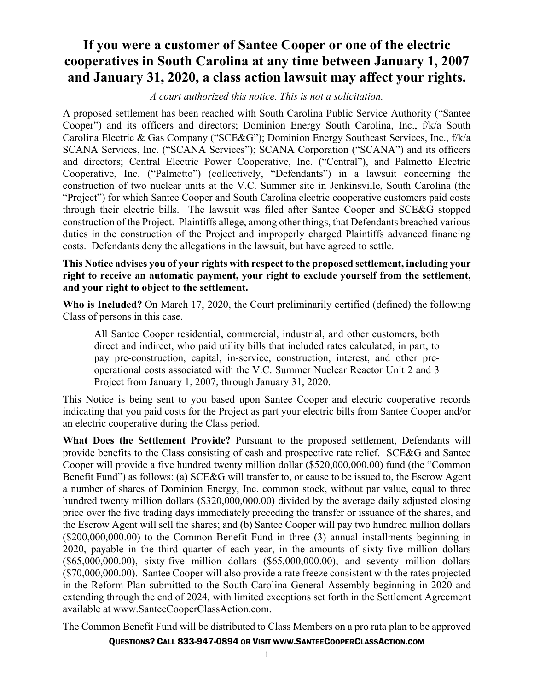## **If you were a customer of Santee Cooper or one of the electric cooperatives in South Carolina at any time between January 1, 2007 and January 31, 2020, a class action lawsuit may affect your rights.**

*A court authorized this notice. This is not a solicitation.* 

A proposed settlement has been reached with South Carolina Public Service Authority ("Santee Cooper") and its officers and directors; Dominion Energy South Carolina, Inc., f/k/a South Carolina Electric & Gas Company ("SCE&G"); Dominion Energy Southeast Services, Inc., f/k/a SCANA Services, Inc. ("SCANA Services"); SCANA Corporation ("SCANA") and its officers and directors; Central Electric Power Cooperative, Inc. ("Central"), and Palmetto Electric Cooperative, Inc. ("Palmetto") (collectively, "Defendants") in a lawsuit concerning the construction of two nuclear units at the V.C. Summer site in Jenkinsville, South Carolina (the "Project") for which Santee Cooper and South Carolina electric cooperative customers paid costs through their electric bills. The lawsuit was filed after Santee Cooper and SCE&G stopped construction of the Project. Plaintiffs allege, among other things, that Defendants breached various duties in the construction of the Project and improperly charged Plaintiffs advanced financing costs. Defendants deny the allegations in the lawsuit, but have agreed to settle.

## **This Notice advises you of your rights with respect to the proposed settlement, including your right to receive an automatic payment, your right to exclude yourself from the settlement, and your right to object to the settlement.**

**Who is Included?** On March 17, 2020, the Court preliminarily certified (defined) the following Class of persons in this case.

All Santee Cooper residential, commercial, industrial, and other customers, both direct and indirect, who paid utility bills that included rates calculated, in part, to pay pre-construction, capital, in-service, construction, interest, and other preoperational costs associated with the V.C. Summer Nuclear Reactor Unit 2 and 3 Project from January 1, 2007, through January 31, 2020.

This Notice is being sent to you based upon Santee Cooper and electric cooperative records indicating that you paid costs for the Project as part your electric bills from Santee Cooper and/or an electric cooperative during the Class period.

**What Does the Settlement Provide?** Pursuant to the proposed settlement, Defendants will provide benefits to the Class consisting of cash and prospective rate relief. SCE&G and Santee Cooper will provide a five hundred twenty million dollar (\$520,000,000.00) fund (the "Common Benefit Fund") as follows: (a) SCE&G will transfer to, or cause to be issued to, the Escrow Agent a number of shares of Dominion Energy, Inc. common stock, without par value, equal to three hundred twenty million dollars (\$320,000,000.00) divided by the average daily adjusted closing price over the five trading days immediately preceding the transfer or issuance of the shares, and the Escrow Agent will sell the shares; and (b) Santee Cooper will pay two hundred million dollars (\$200,000,000.00) to the Common Benefit Fund in three (3) annual installments beginning in 2020, payable in the third quarter of each year, in the amounts of sixty-five million dollars (\$65,000,000.00), sixty-five million dollars (\$65,000,000.00), and seventy million dollars (\$70,000,000.00). Santee Cooper will also provide a rate freeze consistent with the rates projected in the Reform Plan submitted to the South Carolina General Assembly beginning in 2020 and extending through the end of 2024, with limited exceptions set forth in the Settlement Agreement available at www.SanteeCooperClassAction.com.

The Common Benefit Fund will be distributed to Class Members on a pro rata plan to be approved

QUESTIONS? CALL 833-947-0894 OR VISIT WWW.SANTEECOOPERCLASSACTION.COM